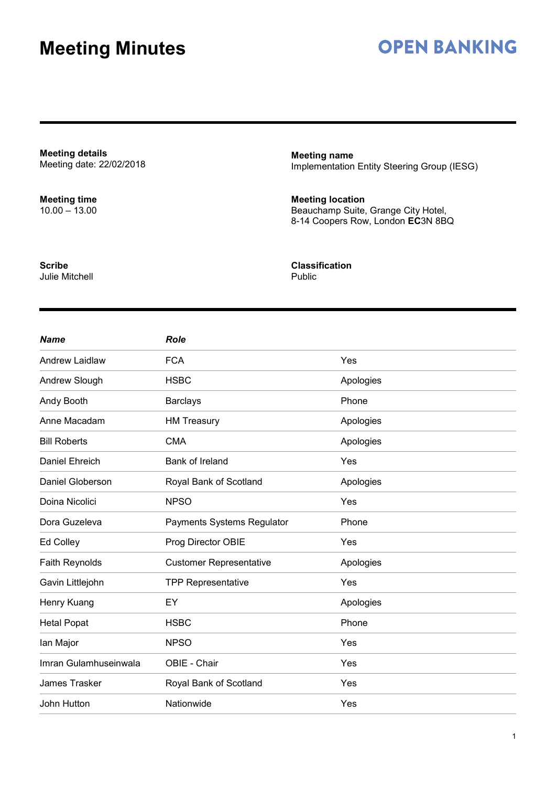#### **OPEN BANKING**

**Meeting details** Meeting date: 22/02/2018

**Meeting time** 10.00 – 13.00 **Meeting name** Implementation Entity Steering Group (IESG)

**Meeting location** Beauchamp Suite, Grange City Hotel, 8-14 Coopers Row, London **EC**3N 8BQ

**Scribe** Julie Mitchell **Classification** Public

| <b>Name</b>           | <b>Role</b>                    |           |
|-----------------------|--------------------------------|-----------|
| <b>Andrew Laidlaw</b> | <b>FCA</b>                     | Yes       |
| Andrew Slough         | <b>HSBC</b>                    | Apologies |
| Andy Booth            | <b>Barclays</b>                | Phone     |
| Anne Macadam          | <b>HM Treasury</b>             | Apologies |
| <b>Bill Roberts</b>   | <b>CMA</b>                     | Apologies |
| Daniel Ehreich        | Bank of Ireland                | Yes       |
| Daniel Globerson      | Royal Bank of Scotland         | Apologies |
| Doina Nicolici        | <b>NPSO</b>                    | Yes       |
| Dora Guzeleva         | Payments Systems Regulator     | Phone     |
| Ed Colley             | Prog Director OBIE             | Yes       |
| <b>Faith Reynolds</b> | <b>Customer Representative</b> | Apologies |
| Gavin Littlejohn      | <b>TPP Representative</b>      | Yes       |
| Henry Kuang           | EY                             | Apologies |
| <b>Hetal Popat</b>    | <b>HSBC</b>                    | Phone     |
| lan Major             | <b>NPSO</b>                    | Yes       |
| Imran Gulamhuseinwala | OBIE - Chair                   | Yes       |
| James Trasker         | Royal Bank of Scotland         | Yes       |
| John Hutton           | Nationwide                     | Yes       |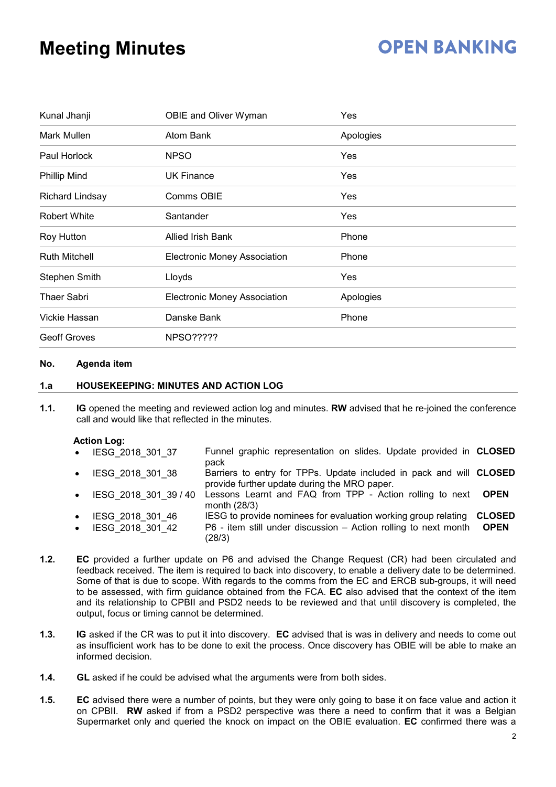# **OPEN BANKING**

| Kunal Jhanji           | OBIE and Oliver Wyman               | Yes       |
|------------------------|-------------------------------------|-----------|
| Mark Mullen            | Atom Bank                           | Apologies |
| Paul Horlock           | <b>NPSO</b>                         | Yes       |
| <b>Phillip Mind</b>    | <b>UK Finance</b>                   | Yes       |
| <b>Richard Lindsay</b> | Comms OBIE                          | Yes       |
| Robert White           | Santander                           | Yes       |
| Roy Hutton             | <b>Allied Irish Bank</b>            | Phone     |
| <b>Ruth Mitchell</b>   | <b>Electronic Money Association</b> | Phone     |
| Stephen Smith          | Lloyds                              | Yes       |
| <b>Thaer Sabri</b>     | <b>Electronic Money Association</b> | Apologies |
| Vickie Hassan          | Danske Bank                         | Phone     |
| <b>Geoff Groves</b>    | NPSO?????                           |           |

#### **No. Agenda item**

#### **1.a HOUSEKEEPING: MINUTES AND ACTION LOG**

**1.1. IG** opened the meeting and reviewed action log and minutes. **RW** advised that he re-joined the conference call and would like that reflected in the minutes.

#### **Action Log:**

- IESG\_2018\_301\_37 Funnel graphic representation on slides. Update provided in **CLOSED** pack IESG\_2018\_301\_38 Barriers to entry for TPPs. Update included in pack and will **CLOSED** provide further update during the MRO paper. IESG\_2018\_301\_39 / 40 Lessons Learnt and FAQ from TPP - Action rolling to next month (28/3) **OPEN** IESG\_2018\_301\_46 IESG to provide nominees for evaluation working group relating **CLOSED** IESG\_2018\_301\_42 P6 - item still under discussion – Action rolling to next month (28/3) **OPEN**
- **1.2. EC** provided a further update on P6 and advised the Change Request (CR) had been circulated and feedback received. The item is required to back into discovery, to enable a delivery date to be determined. Some of that is due to scope. With regards to the comms from the EC and ERCB sub-groups, it will need to be assessed, with firm guidance obtained from the FCA. **EC** also advised that the context of the item and its relationship to CPBII and PSD2 needs to be reviewed and that until discovery is completed, the output, focus or timing cannot be determined.
- **1.3. IG** asked if the CR was to put it into discovery. **EC** advised that is was in delivery and needs to come out as insufficient work has to be done to exit the process. Once discovery has OBIE will be able to make an informed decision.
- **1.4. GL** asked if he could be advised what the arguments were from both sides.
- **1.5. EC** advised there were a number of points, but they were only going to base it on face value and action it on CPBII. **RW** asked if from a PSD2 perspective was there a need to confirm that it was a Belgian Supermarket only and queried the knock on impact on the OBIE evaluation. **EC** confirmed there was a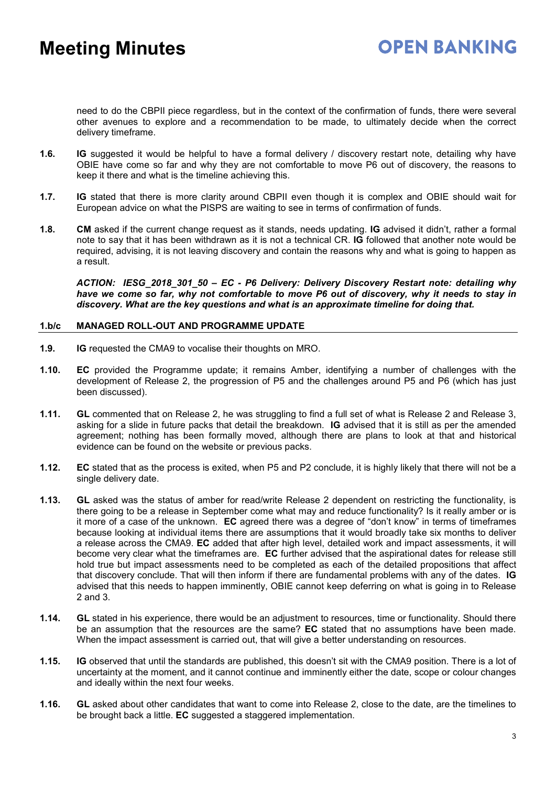need to do the CBPII piece regardless, but in the context of the confirmation of funds, there were several other avenues to explore and a recommendation to be made, to ultimately decide when the correct delivery timeframe.

- **1.6. IG** suggested it would be helpful to have a formal delivery / discovery restart note, detailing why have OBIE have come so far and why they are not comfortable to move P6 out of discovery, the reasons to keep it there and what is the timeline achieving this.
- **1.7. IG** stated that there is more clarity around CBPII even though it is complex and OBIE should wait for European advice on what the PISPS are waiting to see in terms of confirmation of funds.
- **1.8. CM** asked if the current change request as it stands, needs updating. **IG** advised it didn't, rather a formal note to say that it has been withdrawn as it is not a technical CR. **IG** followed that another note would be required, advising, it is not leaving discovery and contain the reasons why and what is going to happen as a result.

*ACTION: IESG\_2018\_301\_50 – EC - P6 Delivery: Delivery Discovery Restart note: detailing why* have we come so far, why not comfortable to move P6 out of discovery, why it needs to stay in *discovery. What are the key questions and what is an approximate timeline for doing that.*

#### **1.b/c MANAGED ROLL-OUT AND PROGRAMME UPDATE**

- **1.9. IG** requested the CMA9 to vocalise their thoughts on MRO.
- **1.10. EC** provided the Programme update; it remains Amber, identifying a number of challenges with the development of Release 2, the progression of P5 and the challenges around P5 and P6 (which has just been discussed).
- **1.11. GL** commented that on Release 2, he was struggling to find a full set of what is Release 2 and Release 3, asking for a slide in future packs that detail the breakdown. **IG** advised that it is still as per the amended agreement; nothing has been formally moved, although there are plans to look at that and historical evidence can be found on the website or previous packs.
- **1.12. EC** stated that as the process is exited, when P5 and P2 conclude, it is highly likely that there will not be a single delivery date.
- **1.13. GL** asked was the status of amber for read/write Release 2 dependent on restricting the functionality, is there going to be a release in September come what may and reduce functionality? Is it really amber or is it more of a case of the unknown. **EC** agreed there was a degree of "don't know" in terms of timeframes because looking at individual items there are assumptions that it would broadly take six months to deliver a release across the CMA9. **EC** added that after high level, detailed work and impact assessments, it will become very clear what the timeframes are. **EC** further advised that the aspirational dates for release still hold true but impact assessments need to be completed as each of the detailed propositions that affect that discovery conclude. That will then inform if there are fundamental problems with any of the dates. **IG** advised that this needs to happen imminently, OBIE cannot keep deferring on what is going in to Release 2 and 3.
- **1.14. GL** stated in his experience, there would be an adjustment to resources, time or functionality. Should there be an assumption that the resources are the same? **EC** stated that no assumptions have been made. When the impact assessment is carried out, that will give a better understanding on resources.
- **1.15. IG** observed that until the standards are published, this doesn't sit with the CMA9 position. There is a lot of uncertainty at the moment, and it cannot continue and imminently either the date, scope or colour changes and ideally within the next four weeks.
- **1.16. GL** asked about other candidates that want to come into Release 2, close to the date, are the timelines to be brought back a little. **EC** suggested a staggered implementation.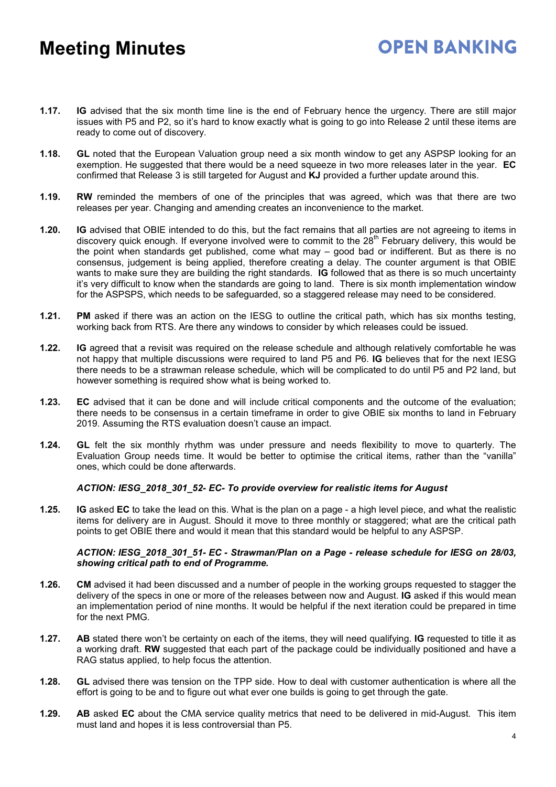- **OPEN BANKING**
- **1.17. IG** advised that the six month time line is the end of February hence the urgency. There are still major issues with P5 and P2, so it's hard to know exactly what is going to go into Release 2 until these items are ready to come out of discovery.
- **1.18. GL** noted that the European Valuation group need a six month window to get any ASPSP looking for an exemption. He suggested that there would be a need squeeze in two more releases later in the year. **EC** confirmed that Release 3 is still targeted for August and **KJ** provided a further update around this.
- **1.19. RW** reminded the members of one of the principles that was agreed, which was that there are two releases per year. Changing and amending creates an inconvenience to the market.
- **1.20. IG** advised that OBIE intended to do this, but the fact remains that all parties are not agreeing to items in discovery quick enough. If everyone involved were to commit to the  $28<sup>th</sup>$  February delivery, this would be the point when standards get published, come what may – good bad or indifferent. But as there is no consensus, judgement is being applied, therefore creating a delay. The counter argument is that OBIE wants to make sure they are building the right standards. **IG** followed that as there is so much uncertainty it's very difficult to know when the standards are going to land. There is six month implementation window for the ASPSPS, which needs to be safeguarded, so a staggered release may need to be considered.
- **1.21. PM** asked if there was an action on the IESG to outline the critical path, which has six months testing, working back from RTS. Are there any windows to consider by which releases could be issued.
- **1.22. IG** agreed that a revisit was required on the release schedule and although relatively comfortable he was not happy that multiple discussions were required to land P5 and P6. **IG** believes that for the next IESG there needs to be a strawman release schedule, which will be complicated to do until P5 and P2 land, but however something is required show what is being worked to.
- **1.23. EC** advised that it can be done and will include critical components and the outcome of the evaluation; there needs to be consensus in a certain timeframe in order to give OBIE six months to land in February 2019. Assuming the RTS evaluation doesn't cause an impact.
- **1.24. GL** felt the six monthly rhythm was under pressure and needs flexibility to move to quarterly. The Evaluation Group needs time. It would be better to optimise the critical items, rather than the "vanilla" ones, which could be done afterwards.

#### *ACTION: IESG\_2018\_301\_52- EC- To provide overview for realistic items for August*

**1.25. IG** asked **EC** to take the lead on this. What is the plan on a page - a high level piece, and what the realistic items for delivery are in August. Should it move to three monthly or staggered; what are the critical path points to get OBIE there and would it mean that this standard would be helpful to any ASPSP.

#### *ACTION: IESG\_2018\_301\_51- EC - Strawman/Plan on a Page - release schedule for IESG on 28/03, showing critical path to end of Programme.*

- **1.26. CM** advised it had been discussed and a number of people in the working groups requested to stagger the delivery of the specs in one or more of the releases between now and August. **IG** asked if this would mean an implementation period of nine months. It would be helpful if the next iteration could be prepared in time for the next PMG.
- **1.27. AB** stated there won't be certainty on each of the items, they will need qualifying. **IG** requested to title it as a working draft. **RW** suggested that each part of the package could be individually positioned and have a RAG status applied, to help focus the attention.
- **1.28. GL** advised there was tension on the TPP side. How to deal with customer authentication is where all the effort is going to be and to figure out what ever one builds is going to get through the gate.
- **1.29. AB** asked **EC** about the CMA service quality metrics that need to be delivered in mid-August. This item must land and hopes it is less controversial than P5.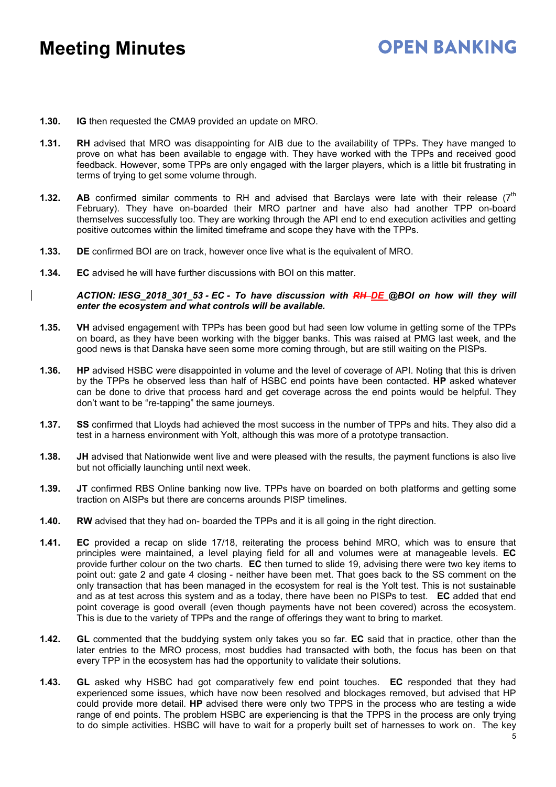### **OPEN BANKING**

- **1.30. IG** then requested the CMA9 provided an update on MRO.
- **1.31. RH** advised that MRO was disappointing for AIB due to the availability of TPPs. They have manged to prove on what has been available to engage with. They have worked with the TPPs and received good feedback. However, some TPPs are only engaged with the larger players, which is a little bit frustrating in terms of trying to get some volume through.
- **1.32. AB** confirmed similar comments to RH and advised that Barclays were late with their release  $(7<sup>th</sup>)$ February). They have on-boarded their MRO partner and have also had another TPP on-board themselves successfully too. They are working through the API end to end execution activities and getting positive outcomes within the limited timeframe and scope they have with the TPPs.
- **1.33. DE** confirmed BOI are on track, however once live what is the equivalent of MRO.
- **1.34. EC** advised he will have further discussions with BOI on this matter.

*ACTION: IESG\_2018\_301\_53 - EC - To have discussion with RH DE @BOI on how will they will enter the ecosystem and what controls will be available.*

- **1.35. VH** advised engagement with TPPs has been good but had seen low volume in getting some of the TPPs on board, as they have been working with the bigger banks. This was raised at PMG last week, and the good news is that Danska have seen some more coming through, but are still waiting on the PISPs.
- **1.36. HP** advised HSBC were disappointed in volume and the level of coverage of API. Noting that this is driven by the TPPs he observed less than half of HSBC end points have been contacted. **HP** asked whatever can be done to drive that process hard and get coverage across the end points would be helpful. They don't want to be "re-tapping" the same journeys.
- **1.37. SS** confirmed that Lloyds had achieved the most success in the number of TPPs and hits. They also did a test in a harness environment with Yolt, although this was more of a prototype transaction.
- **1.38. JH** advised that Nationwide went live and were pleased with the results, the payment functions is also live but not officially launching until next week.
- **1.39. JT** confirmed RBS Online banking now live. TPPs have on boarded on both platforms and getting some traction on AISPs but there are concerns arounds PISP timelines.
- **1.40. RW** advised that they had on- boarded the TPPs and it is all going in the right direction.
- **1.41. EC** provided a recap on slide 17/18, reiterating the process behind MRO, which was to ensure that principles were maintained, a level playing field for all and volumes were at manageable levels. **EC** provide further colour on the two charts. **EC** then turned to slide 19, advising there were two key items to point out: gate 2 and gate 4 closing - neither have been met. That goes back to the SS comment on the only transaction that has been managed in the ecosystem for real is the Yolt test. This is not sustainable and as at test across this system and as a today, there have been no PISPs to test. **EC** added that end point coverage is good overall (even though payments have not been covered) across the ecosystem. This is due to the variety of TPPs and the range of offerings they want to bring to market.
- **1.42. GL** commented that the buddying system only takes you so far. **EC** said that in practice, other than the later entries to the MRO process, most buddies had transacted with both, the focus has been on that every TPP in the ecosystem has had the opportunity to validate their solutions.
- **1.43. GL** asked why HSBC had got comparatively few end point touches. **EC** responded that they had experienced some issues, which have now been resolved and blockages removed, but advised that HP could provide more detail. **HP** advised there were only two TPPS in the process who are testing a wide range of end points. The problem HSBC are experiencing is that the TPPS in the process are only trying to do simple activities. HSBC will have to wait for a properly built set of harnesses to work on. The key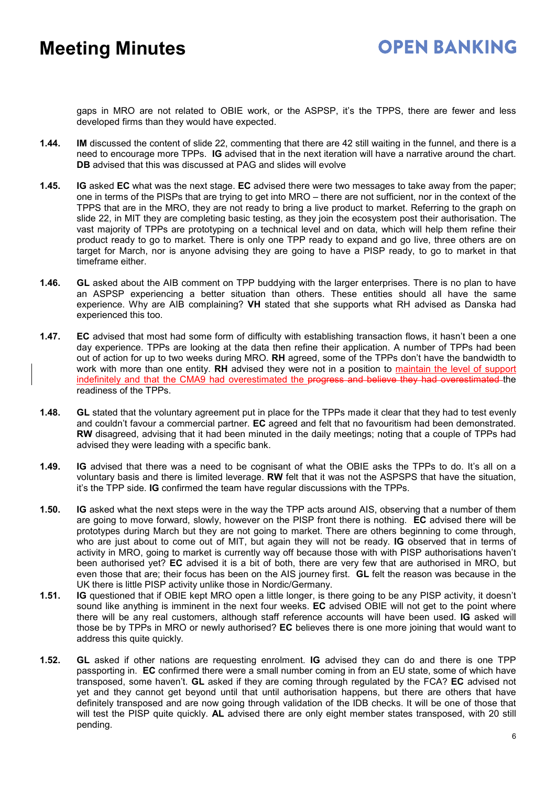gaps in MRO are not related to OBIE work, or the ASPSP, it's the TPPS, there are fewer and less developed firms than they would have expected.

- **1.44. IM** discussed the content of slide 22, commenting that there are 42 still waiting in the funnel, and there is a need to encourage more TPPs. **IG** advised that in the next iteration will have a narrative around the chart. **DB** advised that this was discussed at PAG and slides will evolve
- **1.45. IG** asked **EC** what was the next stage. **EC** advised there were two messages to take away from the paper; one in terms of the PISPs that are trying to get into MRO – there are not sufficient, nor in the context of the TPPS that are in the MRO, they are not ready to bring a live product to market. Referring to the graph on slide 22, in MIT they are completing basic testing, as they join the ecosystem post their authorisation. The vast majority of TPPs are prototyping on a technical level and on data, which will help them refine their product ready to go to market. There is only one TPP ready to expand and go live, three others are on target for March, nor is anyone advising they are going to have a PISP ready, to go to market in that timeframe either.
- **1.46. GL** asked about the AIB comment on TPP buddying with the larger enterprises. There is no plan to have an ASPSP experiencing a better situation than others. These entities should all have the same experience. Why are AIB complaining? **VH** stated that she supports what RH advised as Danska had experienced this too.
- **1.47. EC** advised that most had some form of difficulty with establishing transaction flows, it hasn't been a one day experience. TPPs are looking at the data then refine their application. A number of TPPs had been out of action for up to two weeks during MRO. **RH** agreed, some of the TPPs don't have the bandwidth to work with more than one entity. **RH** advised they were not in a position to maintain the level of support indefinitely and that the CMA9 had overestimated the progress and believe they had overestimated the readiness of the TPPs.
- **1.48. GL** stated that the voluntary agreement put in place for the TPPs made it clear that they had to test evenly and couldn't favour a commercial partner. **EC** agreed and felt that no favouritism had been demonstrated. **RW** disagreed, advising that it had been minuted in the daily meetings; noting that a couple of TPPs had advised they were leading with a specific bank.
- **1.49. IG** advised that there was a need to be cognisant of what the OBIE asks the TPPs to do. It's all on a voluntary basis and there is limited leverage. **RW** felt that it was not the ASPSPS that have the situation, it's the TPP side. **IG** confirmed the team have regular discussions with the TPPs.
- **1.50. IG** asked what the next steps were in the way the TPP acts around AIS, observing that a number of them are going to move forward, slowly, however on the PISP front there is nothing. **EC** advised there will be prototypes during March but they are not going to market. There are others beginning to come through, who are just about to come out of MIT, but again they will not be ready. **IG** observed that in terms of activity in MRO, going to market is currently way off because those with with PISP authorisations haven't been authorised yet? **EC** advised it is a bit of both, there are very few that are authorised in MRO, but even those that are; their focus has been on the AIS journey first. **GL** felt the reason was because in the UK there is little PISP activity unlike those in Nordic/Germany.
- **1.51. IG** questioned that if OBIE kept MRO open a little longer, is there going to be any PISP activity, it doesn't sound like anything is imminent in the next four weeks. **EC** advised OBIE will not get to the point where there will be any real customers, although staff reference accounts will have been used. **IG** asked will those be by TPPs in MRO or newly authorised? **EC** believes there is one more joining that would want to address this quite quickly.
- **1.52. GL** asked if other nations are requesting enrolment. **IG** advised they can do and there is one TPP passporting in. **EC** confirmed there were a small number coming in from an EU state, some of which have transposed, some haven't. **GL** asked if they are coming through regulated by the FCA? **EC** advised not yet and they cannot get beyond until that until authorisation happens, but there are others that have definitely transposed and are now going through validation of the IDB checks. It will be one of those that will test the PISP quite quickly. **AL** advised there are only eight member states transposed, with 20 still pending.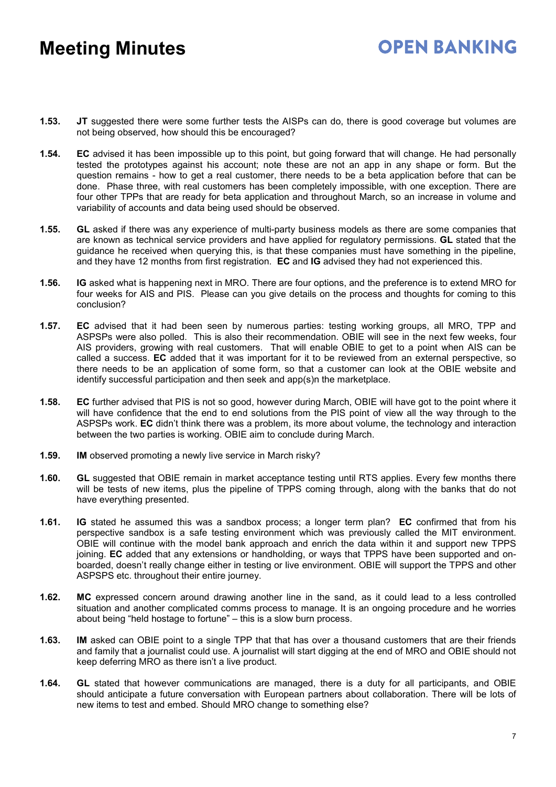- **OPEN BANKING**
- **1.53. JT** suggested there were some further tests the AISPs can do, there is good coverage but volumes are not being observed, how should this be encouraged?
- **1.54. EC** advised it has been impossible up to this point, but going forward that will change. He had personally tested the prototypes against his account; note these are not an app in any shape or form. But the question remains - how to get a real customer, there needs to be a beta application before that can be done. Phase three, with real customers has been completely impossible, with one exception. There are four other TPPs that are ready for beta application and throughout March, so an increase in volume and variability of accounts and data being used should be observed.
- **1.55. GL** asked if there was any experience of multi-party business models as there are some companies that are known as technical service providers and have applied for regulatory permissions. **GL** stated that the guidance he received when querying this, is that these companies must have something in the pipeline, and they have 12 months from first registration. **EC** and **IG** advised they had not experienced this.
- **1.56. IG** asked what is happening next in MRO. There are four options, and the preference is to extend MRO for four weeks for AIS and PIS. Please can you give details on the process and thoughts for coming to this conclusion?
- **1.57. EC** advised that it had been seen by numerous parties: testing working groups, all MRO, TPP and ASPSPs were also polled. This is also their recommendation. OBIE will see in the next few weeks, four AIS providers, growing with real customers. That will enable OBIE to get to a point when AIS can be called a success. **EC** added that it was important for it to be reviewed from an external perspective, so there needs to be an application of some form, so that a customer can look at the OBIE website and identify successful participation and then seek and app(s)n the marketplace.
- **1.58. EC** further advised that PIS is not so good, however during March, OBIE will have got to the point where it will have confidence that the end to end solutions from the PIS point of view all the way through to the ASPSPs work. **EC** didn't think there was a problem, its more about volume, the technology and interaction between the two parties is working. OBIE aim to conclude during March.
- **1.59. IM** observed promoting a newly live service in March risky?
- **1.60. GL** suggested that OBIE remain in market acceptance testing until RTS applies. Every few months there will be tests of new items, plus the pipeline of TPPS coming through, along with the banks that do not have everything presented.
- **1.61. IG** stated he assumed this was a sandbox process; a longer term plan? **EC** confirmed that from his perspective sandbox is a safe testing environment which was previously called the MIT environment. OBIE will continue with the model bank approach and enrich the data within it and support new TPPS joining. **EC** added that any extensions or handholding, or ways that TPPS have been supported and onboarded, doesn't really change either in testing or live environment. OBIE will support the TPPS and other ASPSPS etc. throughout their entire journey.
- **1.62. MC** expressed concern around drawing another line in the sand, as it could lead to a less controlled situation and another complicated comms process to manage. It is an ongoing procedure and he worries about being "held hostage to fortune" – this is a slow burn process.
- **1.63. IM** asked can OBIE point to a single TPP that that has over a thousand customers that are their friends and family that a journalist could use. A journalist will start digging at the end of MRO and OBIE should not keep deferring MRO as there isn't a live product.
- **1.64. GL** stated that however communications are managed, there is a duty for all participants, and OBIE should anticipate a future conversation with European partners about collaboration. There will be lots of new items to test and embed. Should MRO change to something else?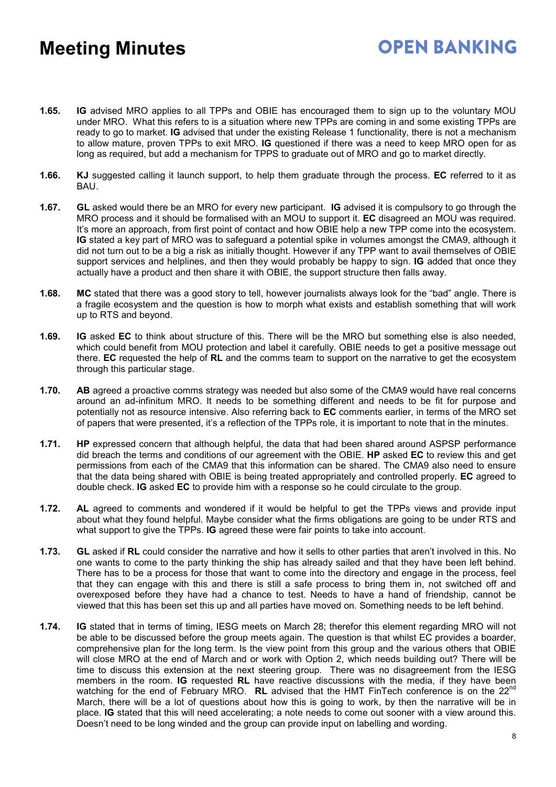- **OPEN BANKING**
- **1.65. IG** advised MRO applies to all TPPs and OBIE has encouraged them to sign up to the voluntary MOU under MRO. What this refers to is a situation where new TPPs are coming in and some existing TPPs are ready to go to market. **IG** advised that under the existing Release 1 functionality, there is not a mechanism to allow mature, proven TPPs to exit MRO. **IG** questioned if there was a need to keep MRO open for as long as required, but add a mechanism for TPPS to graduate out of MRO and go to market directly.
- **1.66. KJ** suggested calling it launch support, to help them graduate through the process. **EC** referred to it as BAU.
- **1.67. GL** asked would there be an MRO for every new participant. **IG** advised it is compulsory to go through the MRO process and it should be formalised with an MOU to support it. **EC** disagreed an MOU was required. It's more an approach, from first point of contact and how OBIE help a new TPP come into the ecosystem. **IG** stated a key part of MRO was to safeguard a potential spike in volumes amongst the CMA9, although it did not turn out to be a big a risk as initially thought. However if any TPP want to avail themselves of OBIE support services and helplines, and then they would probably be happy to sign. **IG** added that once they actually have a product and then share it with OBIE, the support structure then falls away.
- **1.68. MC** stated that there was a good story to tell, however journalists always look for the "bad" angle. There is a fragile ecosystem and the question is how to morph what exists and establish something that will work up to RTS and beyond.
- **1.69. IG** asked **EC** to think about structure of this. There will be the MRO but something else is also needed, which could benefit from MOU protection and label it carefully. OBIE needs to get a positive message out there. **EC** requested the help of **RL** and the comms team to support on the narrative to get the ecosystem through this particular stage.
- **1.70. AB** agreed a proactive comms strategy was needed but also some of the CMA9 would have real concerns around an ad-infinitum MRO. It needs to be something different and needs to be fit for purpose and potentially not as resource intensive. Also referring back to **EC** comments earlier, in terms of the MRO set of papers that were presented, it's a reflection of the TPPs role, it is important to note that in the minutes.
- **1.71. HP** expressed concern that although helpful, the data that had been shared around ASPSP performance did breach the terms and conditions of our agreement with the OBIE. **HP** asked **EC** to review this and get permissions from each of the CMA9 that this information can be shared. The CMA9 also need to ensure that the data being shared with OBIE is being treated appropriately and controlled properly. **EC** agreed to double check. **IG** asked **EC** to provide him with a response so he could circulate to the group.
- **1.72. AL** agreed to comments and wondered if it would be helpful to get the TPPs views and provide input about what they found helpful. Maybe consider what the firms obligations are going to be under RTS and what support to give the TPPs. **IG** agreed these were fair points to take into account.
- **1.73. GL** asked if **RL** could consider the narrative and how it sells to other parties that aren't involved in this. No one wants to come to the party thinking the ship has already sailed and that they have been left behind. There has to be a process for those that want to come into the directory and engage in the process, feel that they can engage with this and there is still a safe process to bring them in, not switched off and overexposed before they have had a chance to test. Needs to have a hand of friendship, cannot be viewed that this has been set this up and all parties have moved on. Something needs to be left behind.
- **1.74. IG** stated that in terms of timing, IESG meets on March 28; therefor this element regarding MRO will not be able to be discussed before the group meets again. The question is that whilst EC provides a boarder, comprehensive plan for the long term. Is the view point from this group and the various others that OBIE will close MRO at the end of March and or work with Option 2, which needs building out? There will be time to discuss this extension at the next steering group. There was no disagreement from the IESG members in the room. **IG** requested **RL** have reactive discussions with the media, if they have been watching for the end of February MRO. **RL** advised that the HMT FinTech conference is on the 22<sup>nd</sup> March, there will be a lot of questions about how this is going to work, by then the narrative will be in place. **IG** stated that this will need accelerating; a note needs to come out sooner with a view around this. Doesn't need to be long winded and the group can provide input on labelling and wording.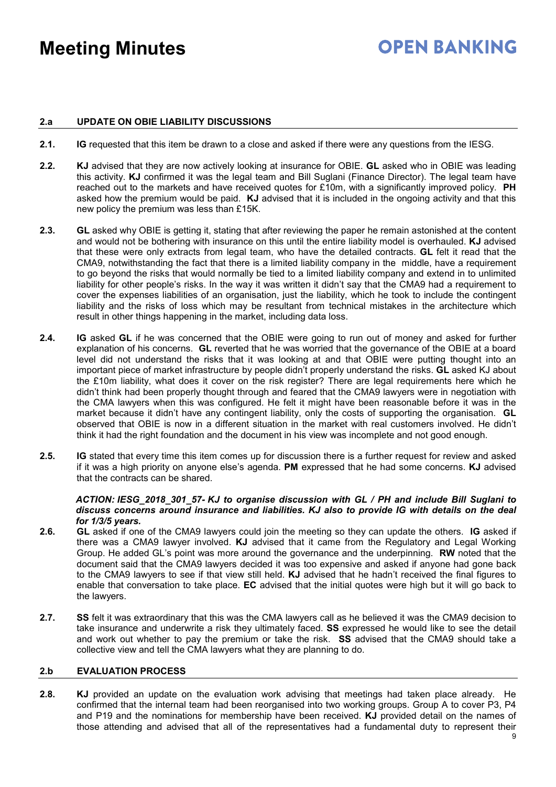# **OPEN BANKING**

#### **2.a UPDATE ON OBIE LIABILITY DISCUSSIONS**

- **2.1. IG** requested that this item be drawn to a close and asked if there were any questions from the IESG.
- **2.2. KJ** advised that they are now actively looking at insurance for OBIE. **GL** asked who in OBIE was leading this activity. **KJ** confirmed it was the legal team and Bill Suglani (Finance Director). The legal team have reached out to the markets and have received quotes for £10m, with a significantly improved policy. **PH** asked how the premium would be paid. **KJ** advised that it is included in the ongoing activity and that this new policy the premium was less than £15K.
- **2.3. GL** asked why OBIE is getting it, stating that after reviewing the paper he remain astonished at the content and would not be bothering with insurance on this until the entire liability model is overhauled. **KJ** advised that these were only extracts from legal team, who have the detailed contracts. **GL** felt it read that the CMA9, notwithstanding the fact that there is a limited liability company in the middle, have a requirement to go beyond the risks that would normally be tied to a limited liability company and extend in to unlimited liability for other people's risks. In the way it was written it didn't say that the CMA9 had a requirement to cover the expenses liabilities of an organisation, just the liability, which he took to include the contingent liability and the risks of loss which may be resultant from technical mistakes in the architecture which result in other things happening in the market, including data loss.
- **2.4. IG** asked **GL** if he was concerned that the OBIE were going to run out of money and asked for further explanation of his concerns. **GL** reverted that he was worried that the governance of the OBIE at a board level did not understand the risks that it was looking at and that OBIE were putting thought into an important piece of market infrastructure by people didn't properly understand the risks. **GL** asked KJ about the £10m liability, what does it cover on the risk register? There are legal requirements here which he didn't think had been properly thought through and feared that the CMA9 lawyers were in negotiation with the CMA lawyers when this was configured. He felt it might have been reasonable before it was in the market because it didn't have any contingent liability, only the costs of supporting the organisation. **GL** observed that OBIE is now in a different situation in the market with real customers involved. He didn't think it had the right foundation and the document in his view was incomplete and not good enough.
- **2.5. IG** stated that every time this item comes up for discussion there is a further request for review and asked if it was a high priority on anyone else's agenda. **PM** expressed that he had some concerns. **KJ** advised that the contracts can be shared.

#### *ACTION: IESG\_2018\_301\_57- KJ to organise discussion with GL / PH and include Bill Suglani to discuss concerns around insurance and liabilities. KJ also to provide IG with details on the deal for 1/3/5 years.*

- **2.6. GL** asked if one of the CMA9 lawyers could join the meeting so they can update the others. **IG** asked if there was a CMA9 lawyer involved. **KJ** advised that it came from the Regulatory and Legal Working Group. He added GL's point was more around the governance and the underpinning. **RW** noted that the document said that the CMA9 lawyers decided it was too expensive and asked if anyone had gone back to the CMA9 lawyers to see if that view still held. **KJ** advised that he hadn't received the final figures to enable that conversation to take place. **EC** advised that the initial quotes were high but it will go back to the lawyers.
- **2.7. SS** felt it was extraordinary that this was the CMA lawyers call as he believed it was the CMA9 decision to take insurance and underwrite a risk they ultimately faced. **SS** expressed he would like to see the detail and work out whether to pay the premium or take the risk. **SS** advised that the CMA9 should take a collective view and tell the CMA lawyers what they are planning to do.

#### **2.b EVALUATION PROCESS**

**2.8. KJ** provided an update on the evaluation work advising that meetings had taken place already. He confirmed that the internal team had been reorganised into two working groups. Group A to cover P3, P4 and P19 and the nominations for membership have been received. **KJ** provided detail on the names of those attending and advised that all of the representatives had a fundamental duty to represent their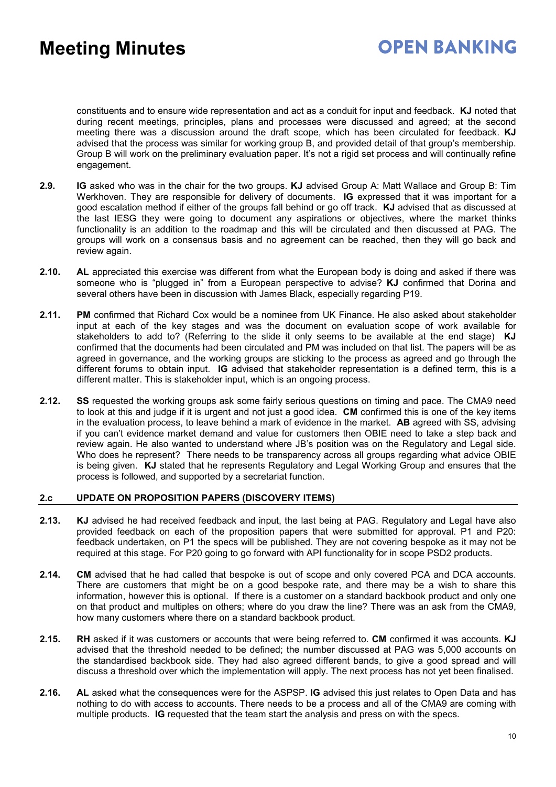### **OPEN BANKING**

constituents and to ensure wide representation and act as a conduit for input and feedback. **KJ** noted that during recent meetings, principles, plans and processes were discussed and agreed; at the second meeting there was a discussion around the draft scope, which has been circulated for feedback. **KJ** advised that the process was similar for working group B, and provided detail of that group's membership. Group B will work on the preliminary evaluation paper. It's not a rigid set process and will continually refine engagement.

- **2.9. IG** asked who was in the chair for the two groups. **KJ** advised Group A: Matt Wallace and Group B: Tim Werkhoven. They are responsible for delivery of documents. **IG** expressed that it was important for a good escalation method if either of the groups fall behind or go off track. **KJ** advised that as discussed at the last IESG they were going to document any aspirations or objectives, where the market thinks functionality is an addition to the roadmap and this will be circulated and then discussed at PAG. The groups will work on a consensus basis and no agreement can be reached, then they will go back and review again.
- **2.10. AL** appreciated this exercise was different from what the European body is doing and asked if there was someone who is "plugged in" from a European perspective to advise? **KJ** confirmed that Dorina and several others have been in discussion with James Black, especially regarding P19.
- **2.11. PM** confirmed that Richard Cox would be a nominee from UK Finance. He also asked about stakeholder input at each of the key stages and was the document on evaluation scope of work available for stakeholders to add to? (Referring to the slide it only seems to be available at the end stage) **KJ** confirmed that the documents had been circulated and PM was included on that list. The papers will be as agreed in governance, and the working groups are sticking to the process as agreed and go through the different forums to obtain input. **IG** advised that stakeholder representation is a defined term, this is a different matter. This is stakeholder input, which is an ongoing process.
- **2.12. SS** requested the working groups ask some fairly serious questions on timing and pace. The CMA9 need to look at this and judge if it is urgent and not just a good idea. **CM** confirmed this is one of the key items in the evaluation process, to leave behind a mark of evidence in the market. **AB** agreed with SS, advising if you can't evidence market demand and value for customers then OBIE need to take a step back and review again. He also wanted to understand where JB's position was on the Regulatory and Legal side. Who does he represent? There needs to be transparency across all groups regarding what advice OBIE is being given. **KJ** stated that he represents Regulatory and Legal Working Group and ensures that the process is followed, and supported by a secretariat function.

#### **2.c UPDATE ON PROPOSITION PAPERS (DISCOVERY ITEMS)**

- **2.13. KJ** advised he had received feedback and input, the last being at PAG. Regulatory and Legal have also provided feedback on each of the proposition papers that were submitted for approval. P1 and P20: feedback undertaken, on P1 the specs will be published. They are not covering bespoke as it may not be required at this stage. For P20 going to go forward with API functionality for in scope PSD2 products.
- **2.14. CM** advised that he had called that bespoke is out of scope and only covered PCA and DCA accounts. There are customers that might be on a good bespoke rate, and there may be a wish to share this information, however this is optional. If there is a customer on a standard backbook product and only one on that product and multiples on others; where do you draw the line? There was an ask from the CMA9, how many customers where there on a standard backbook product.
- **2.15. RH** asked if it was customers or accounts that were being referred to. **CM** confirmed it was accounts. **KJ** advised that the threshold needed to be defined; the number discussed at PAG was 5,000 accounts on the standardised backbook side. They had also agreed different bands, to give a good spread and will discuss a threshold over which the implementation will apply. The next process has not yet been finalised.
- **2.16. AL** asked what the consequences were for the ASPSP. **IG** advised this just relates to Open Data and has nothing to do with access to accounts. There needs to be a process and all of the CMA9 are coming with multiple products. **IG** requested that the team start the analysis and press on with the specs.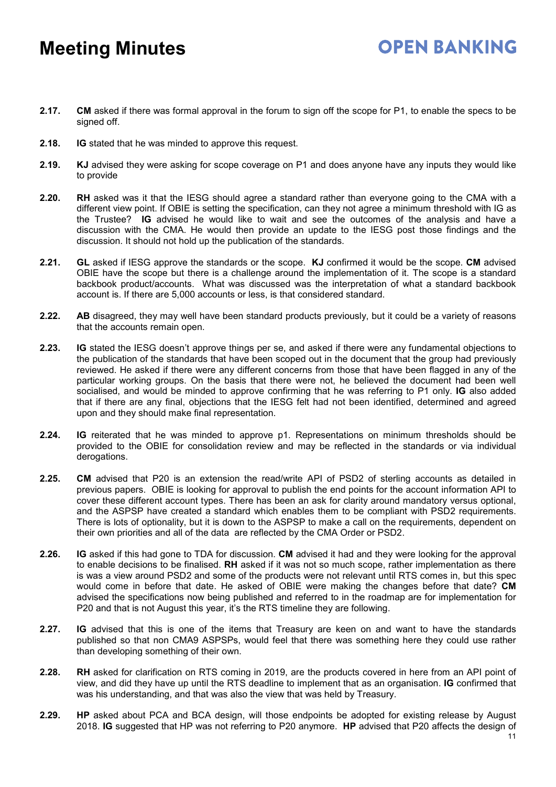- **2.17. CM** asked if there was formal approval in the forum to sign off the scope for P1, to enable the specs to be signed off.
- **2.18. IG** stated that he was minded to approve this request.
- **2.19. KJ** advised they were asking for scope coverage on P1 and does anyone have any inputs they would like to provide
- **2.20. RH** asked was it that the IESG should agree a standard rather than everyone going to the CMA with a different view point. If OBIE is setting the specification, can they not agree a minimum threshold with IG as the Trustee? **IG** advised he would like to wait and see the outcomes of the analysis and have a discussion with the CMA. He would then provide an update to the IESG post those findings and the discussion. It should not hold up the publication of the standards.
- **2.21. GL** asked if IESG approve the standards or the scope. **KJ** confirmed it would be the scope. **CM** advised OBIE have the scope but there is a challenge around the implementation of it. The scope is a standard backbook product/accounts. What was discussed was the interpretation of what a standard backbook account is. If there are 5,000 accounts or less, is that considered standard.
- **2.22. AB** disagreed, they may well have been standard products previously, but it could be a variety of reasons that the accounts remain open.
- **2.23. IG** stated the IESG doesn't approve things per se, and asked if there were any fundamental objections to the publication of the standards that have been scoped out in the document that the group had previously reviewed. He asked if there were any different concerns from those that have been flagged in any of the particular working groups. On the basis that there were not, he believed the document had been well socialised, and would be minded to approve confirming that he was referring to P1 only. **IG** also added that if there are any final, objections that the IESG felt had not been identified, determined and agreed upon and they should make final representation.
- **2.24. IG** reiterated that he was minded to approve p1. Representations on minimum thresholds should be provided to the OBIE for consolidation review and may be reflected in the standards or via individual derogations.
- **2.25. CM** advised that P20 is an extension the read/write API of PSD2 of sterling accounts as detailed in previous papers. OBIE is looking for approval to publish the end points for the account information API to cover these different account types. There has been an ask for clarity around mandatory versus optional, and the ASPSP have created a standard which enables them to be compliant with PSD2 requirements. There is lots of optionality, but it is down to the ASPSP to make a call on the requirements, dependent on their own priorities and all of the data are reflected by the CMA Order or PSD2.
- **2.26. IG** asked if this had gone to TDA for discussion. **CM** advised it had and they were looking for the approval to enable decisions to be finalised. **RH** asked if it was not so much scope, rather implementation as there is was a view around PSD2 and some of the products were not relevant until RTS comes in, but this spec would come in before that date. He asked of OBIE were making the changes before that date? **CM** advised the specifications now being published and referred to in the roadmap are for implementation for P20 and that is not August this year, it's the RTS timeline they are following.
- **2.27. IG** advised that this is one of the items that Treasury are keen on and want to have the standards published so that non CMA9 ASPSPs, would feel that there was something here they could use rather than developing something of their own.
- **2.28. RH** asked for clarification on RTS coming in 2019, are the products covered in here from an API point of view, and did they have up until the RTS deadline to implement that as an organisation. **IG** confirmed that was his understanding, and that was also the view that was held by Treasury.
- **2.29. HP** asked about PCA and BCA design, will those endpoints be adopted for existing release by August 2018. **IG** suggested that HP was not referring to P20 anymore. **HP** advised that P20 affects the design of

#### **OPEN BANKING**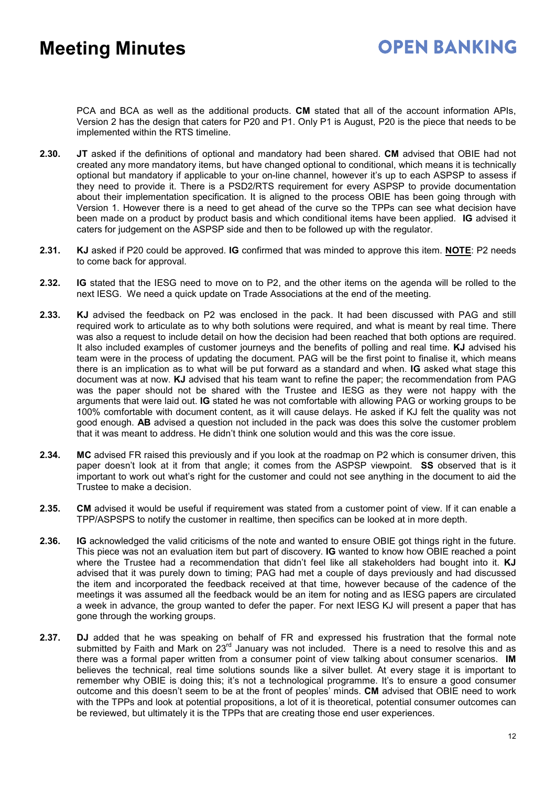PCA and BCA as well as the additional products. **CM** stated that all of the account information APIs, Version 2 has the design that caters for P20 and P1. Only P1 is August, P20 is the piece that needs to be implemented within the RTS timeline.

- **2.30. JT** asked if the definitions of optional and mandatory had been shared. **CM** advised that OBIE had not created any more mandatory items, but have changed optional to conditional, which means it is technically optional but mandatory if applicable to your on-line channel, however it's up to each ASPSP to assess if they need to provide it. There is a PSD2/RTS requirement for every ASPSP to provide documentation about their implementation specification. It is aligned to the process OBIE has been going through with Version 1. However there is a need to get ahead of the curve so the TPPs can see what decision have been made on a product by product basis and which conditional items have been applied. **IG** advised it caters for judgement on the ASPSP side and then to be followed up with the regulator.
- **2.31. KJ** asked if P20 could be approved. **IG** confirmed that was minded to approve this item. **NOTE**: P2 needs to come back for approval.
- **2.32. IG** stated that the IESG need to move on to P2, and the other items on the agenda will be rolled to the next IESG. We need a quick update on Trade Associations at the end of the meeting.
- **2.33. KJ** advised the feedback on P2 was enclosed in the pack. It had been discussed with PAG and still required work to articulate as to why both solutions were required, and what is meant by real time. There was also a request to include detail on how the decision had been reached that both options are required. It also included examples of customer journeys and the benefits of polling and real time. **KJ** advised his team were in the process of updating the document. PAG will be the first point to finalise it, which means there is an implication as to what will be put forward as a standard and when. **IG** asked what stage this document was at now. **KJ** advised that his team want to refine the paper; the recommendation from PAG was the paper should not be shared with the Trustee and IESG as they were not happy with the arguments that were laid out. **IG** stated he was not comfortable with allowing PAG or working groups to be 100% comfortable with document content, as it will cause delays. He asked if KJ felt the quality was not good enough. **AB** advised a question not included in the pack was does this solve the customer problem that it was meant to address. He didn't think one solution would and this was the core issue.
- **2.34. MC** advised FR raised this previously and if you look at the roadmap on P2 which is consumer driven, this paper doesn't look at it from that angle; it comes from the ASPSP viewpoint. **SS** observed that is it important to work out what's right for the customer and could not see anything in the document to aid the Trustee to make a decision.
- **2.35. CM** advised it would be useful if requirement was stated from a customer point of view. If it can enable a TPP/ASPSPS to notify the customer in realtime, then specifics can be looked at in more depth.
- **2.36. IG** acknowledged the valid criticisms of the note and wanted to ensure OBIE got things right in the future. This piece was not an evaluation item but part of discovery. **IG** wanted to know how OBIE reached a point where the Trustee had a recommendation that didn't feel like all stakeholders had bought into it. **KJ** advised that it was purely down to timing; PAG had met a couple of days previously and had discussed the item and incorporated the feedback received at that time, however because of the cadence of the meetings it was assumed all the feedback would be an item for noting and as IESG papers are circulated a week in advance, the group wanted to defer the paper. For next IESG KJ will present a paper that has gone through the working groups.
- **2.37. DJ** added that he was speaking on behalf of FR and expressed his frustration that the formal note submitted by Faith and Mark on  $23<sup>rd</sup>$  January was not included. There is a need to resolve this and as there was a formal paper written from a consumer point of view talking about consumer scenarios. **IM** believes the technical, real time solutions sounds like a silver bullet. At every stage it is important to remember why OBIE is doing this; it's not a technological programme. It's to ensure a good consumer outcome and this doesn't seem to be at the front of peoples' minds. **CM** advised that OBIE need to work with the TPPs and look at potential propositions, a lot of it is theoretical, potential consumer outcomes can be reviewed, but ultimately it is the TPPs that are creating those end user experiences.